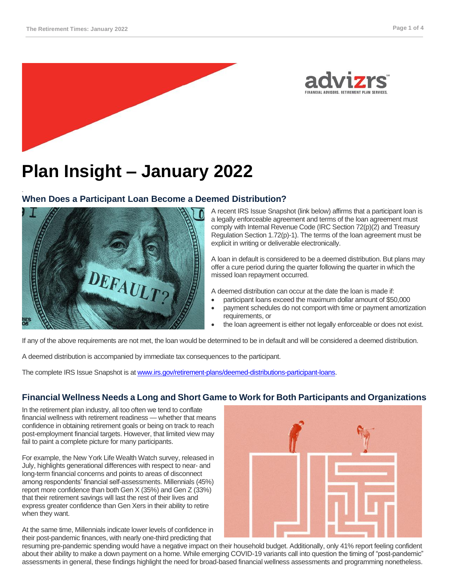-





# **Plan Insight – January 2022**

## **When Does a Participant Loan Become a Deemed Distribution?**



A recent IRS Issue Snapshot (link below) affirms that a participant loan is a legally enforceable agreement and terms of the loan agreement must comply with Internal Revenue Code (IRC Section 72(p)(2) and Treasury Regulation Section 1.72(p)-1). The terms of the loan agreement must be explicit in writing or deliverable electronically.

A loan in default is considered to be a deemed distribution. But plans may offer a cure period during the quarter following the quarter in which the missed loan repayment occurred.

A deemed distribution can occur at the date the loan is made if:

- participant loans exceed the maximum dollar amount of \$50,000
- payment schedules do not comport with time or payment amortization requirements, or
- the loan agreement is either not legally enforceable or does not exist.

If any of the above requirements are not met, the loan would be determined to be in default and will be considered a deemed distribution.

A deemed distribution is accompanied by immediate tax consequences to the participant.

The complete IRS Issue Snapshot is a[t www.irs.gov/retirement-plans/deemed-distributions-participant-loans.](http://www.irs.gov/retirement-plans/deemed-distributions-participant-loans)

## **Financial Wellness Needs a Long and Short Game to Work for Both Participants and Organizations**

In the retirement plan industry, all too often we tend to conflate financial wellness with retirement readiness — whether that means confidence in obtaining retirement goals or being on track to reach post-employment financial targets. However, that limited view may fail to paint a complete picture for many participants.

For example, the New York Life Wealth Watch survey, released in July, highlights generational differences with respect to near- and long-term financial concerns and points to areas of disconnect among respondents' financial self-assessments. Millennials (45%) report more confidence than both Gen X (35%) and Gen Z (33%) that their retirement savings will last the rest of their lives and express greater confidence than Gen Xers in their ability to retire when they want.

At the same time, Millennials indicate lower levels of confidence in their post-pandemic finances, with nearly one-third predicting that

resuming pre-pandemic spending would have a negative impact on their household budget. Additionally, only 41% report feeling confident about their ability to make a down payment on a home. While emerging COVID-19 variants call into question the timing of "post-pandemic" assessments in general, these findings highlight the need for broad-based financial wellness assessments and programming nonetheless.

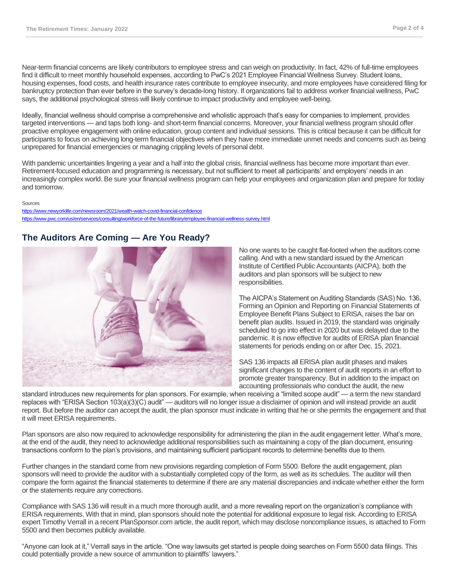Near-term financial concerns are likely contributors to employee stress and can weigh on productivity. In fact, 42% of full-time employees find it difficult to meet monthly household expenses, according to PwC's 2021 Employee Financial Wellness Survey. Student loans, housing expenses, food costs, and health insurance rates contribute to employee insecurity, and more employees have considered filing for bankruptcy protection than ever before in the survey's decade-long history. If organizations fail to address worker financial wellness, PwC says, the additional psychological stress will likely continue to impact productivity and employee well-being.

Ideally, financial wellness should comprise a comprehensive and wholistic approach that's easy for companies to implement, provides targeted interventions — and taps both long- and short-term financial concerns. Moreover, your financial wellness program should offer proactive employee engagement with online education, group content and individual sessions. This is critical because it can be difficult for participants to focus on achieving long-term financial objectives when they have more immediate unmet needs and concerns such as being unprepared for financial emergencies or managing crippling levels of personal debt.

With pandemic uncertainties lingering a year and a half into the global crisis, financial wellness has become more important than ever. Retirement-focused education and programming is necessary, but not sufficient to meet all participants' and employers' needs in an increasingly complex world. Be sure your financial wellness program can help your employees and organization plan and prepare for today and tomorrow.

#### Sources

https://www.newyorklife.com/newsroom/2021/wealth-watch-covid-financial-confidence <https://www.pwc.com/us/en/services/consulting/workforce-of-the-future/library/employee-financial-wellness-survey.html>

## **The Auditors Are Coming — Are You Ready?**



No one wants to be caught flat-footed when the auditors come calling. And with a new standard issued by the American Institute of Certified Public Accountants (AICPA), both the auditors and plan sponsors will be subject to new responsibilities.

The AICPA's Statement on Auditing Standards (SAS) No. 136, Forming an Opinion and Reporting on Financial Statements of Employee Benefit Plans Subject to ERISA, raises the bar on benefit plan audits. Issued in 2019, the standard was originally scheduled to go into effect in 2020 but was delayed due to the pandemic. It is now effective for audits of ERISA plan financial statements for periods ending on or after Dec. 15, 2021.

SAS 136 impacts all ERISA plan audit phases and makes significant changes to the content of audit reports in an effort to promote greater transparency. But in addition to the impact on accounting professionals who conduct the audit, the new

standard introduces new requirements for plan sponsors. For example, when receiving a "limited scope audit" — a term the new standard replaces with "ERISA Section 103(a)(3)(C) audit" — auditors will no longer issue a disclaimer of opinion and will instead provide an audit report. But before the auditor can accept the audit, the plan sponsor must indicate in writing that he or she permits the engagement and that it will meet ERISA requirements.

Plan sponsors are also now required to acknowledge responsibility for administering the plan in the audit engagement letter. What's more, at the end of the audit, they need to acknowledge additional responsibilities such as maintaining a copy of the plan document, ensuring transactions conform to the plan's provisions, and maintaining sufficient participant records to determine benefits due to them.

Further changes in the standard come from new provisions regarding completion of Form 5500. Before the audit engagement, plan sponsors will need to provide the auditor with a substantially completed copy of the form, as well as its schedules. The auditor will then compare the form against the financial statements to determine if there are any material discrepancies and indicate whether either the form or the statements require any corrections.

Compliance with SAS 136 will result in a much more thorough audit, and a more revealing report on the organization's compliance with ERISA requirements. With that in mind, plan sponsors should note the potential for additional exposure to legal risk. According to ERISA expert Timothy Verrall in a recent PlanSponsor.com article, the audit report, which may disclose noncompliance issues, is attached to Form 5500 and then becomes publicly available.

"Anyone can look at it," Verrall says in the article. "One way lawsuits get started is people doing searches on Form 5500 data filings. This could potentially provide a new source of ammunition to plaintiffs' lawyers."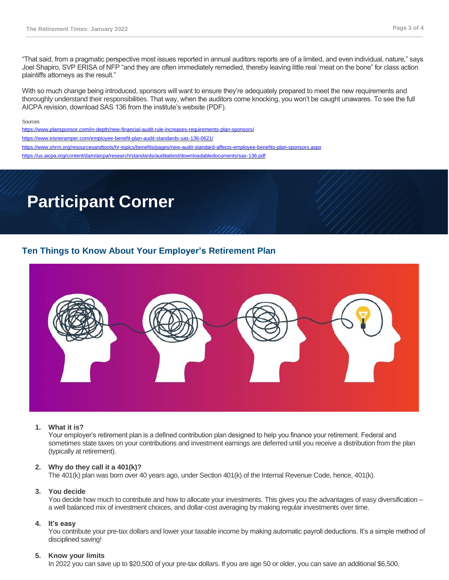"That said, from a pragmatic perspective most issues reported in annual auditors reports are of a limited, and even individual, nature," says Joel Shapiro, SVP ERISA of NFP "and they are often immediately remedied, thereby leaving little real 'meat on the bone" for class action plaintiffs attorneys as the result."

With so much change being introduced, sponsors will want to ensure they're adequately prepared to meet the new requirements and thoroughly understand their responsibilities. That way, when the auditors come knocking, you won't be caught unawares. To see the full AICPA revision, download SAS 136 from the institute's website (PDF).

Sources

<https://www.plansponsor.com/in-depth/new-financial-audit-rule-increases-requirements-plan-sponsors/>

<https://www.eisneramper.com/employee-benefit-plan-audit-standards-sas-136-0621/>

<https://www.shrm.org/resourcesandtools/hr-topics/benefits/pages/new-audit-standard-affects-employee-benefits-plan-sponsors.aspx>

<https://us.aicpa.org/content/dam/aicpa/research/standards/auditattest/downloadabledocuments/sas-136.pdf>

## **Participant Corner**

### **Ten Things to Know About Your Employer's Retirement Plan**



#### **1. What it is?**

Your employer's retirement plan is a defined contribution plan designed to help you finance your retirement. Federal and sometimes state taxes on your contributions and investment earnings are deferred until you receive a distribution from the plan (typically at retirement).

#### **2. Why do they call it a 401(k)?**

The 401(k) plan was born over 40 years ago, under Section 401(k) of the Internal Revenue Code, hence, 401(k).

#### **3. You decide**

You decide how much to contribute and how to allocate your investments. This gives you the advantages of easy diversification a well balanced mix of investment choices, and dollar-cost averaging by making regular investments over time.

#### **4. It's easy**

You contribute your pre-tax dollars and lower your taxable income by making automatic payroll deductions. It's a simple method of disciplined saving!

#### **5. Know your limits**

In 2022 you can save up to \$20,500 of your pre-tax dollars. If you are age 50 or older, you can save an additional \$6,500.